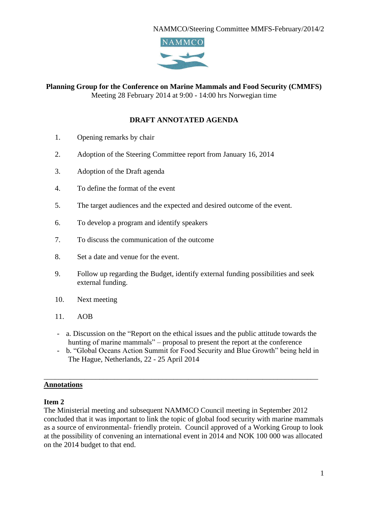

#### **Planning Group for the Conference on Marine Mammals and Food Security (CMMFS)** Meeting 28 February 2014 at 9:00 - 14:00 hrs Norwegian time

### **DRAFT ANNOTATED AGENDA**

- 1. Opening remarks by chair
- 2. Adoption of the Steering Committee report from January 16, 2014
- 3. Adoption of the Draft agenda
- 4. To define the format of the event
- 5. The target audiences and the expected and desired outcome of the event.
- 6. To develop a program and identify speakers
- 7. To discuss the communication of the outcome
- 8. Set a date and venue for the event.
- 9. Follow up regarding the Budget, identify external funding possibilities and seek external funding.
- 10. Next meeting
- 11. AOB
- a. Discussion on the "Report on the ethical issues and the public attitude towards the hunting of marine mammals" – proposal to present the report at the conference
- b. "Global Oceans Action Summit for Food Security and Blue Growth" being held in The Hague, Netherlands, 22 - 25 April 2014

\_\_\_\_\_\_\_\_\_\_\_\_\_\_\_\_\_\_\_\_\_\_\_\_\_\_\_\_\_\_\_\_\_\_\_\_\_\_\_\_\_\_\_\_\_\_\_\_\_\_\_\_\_\_\_\_\_\_\_\_\_\_\_\_\_\_\_\_\_\_\_\_\_\_

#### **Annotations**

#### **Item 2**

The Ministerial meeting and subsequent NAMMCO Council meeting in September 2012 concluded that it was important to link the topic of global food security with marine mammals as a source of environmental- friendly protein. Council approved of a Working Group to look at the possibility of convening an international event in 2014 and NOK 100 000 was allocated on the 2014 budget to that end.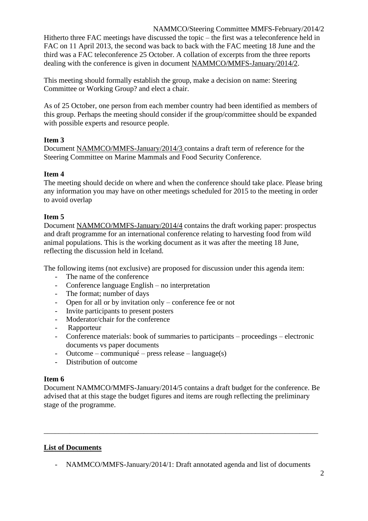NAMMCO/Steering Committee MMFS-February/2014/2 Hitherto three FAC meetings have discussed the topic – the first was a teleconference held in FAC on 11 April 2013, the second was back to back with the FAC meeting 18 June and the third was a FAC teleconference 25 October. A collation of excerpts from the three reports dealing with the conference is given in document NAMMCO/MMFS-January/2014/2.

This meeting should formally establish the group, make a decision on name: Steering Committee or Working Group? and elect a chair.

As of 25 October, one person from each member country had been identified as members of this group. Perhaps the meeting should consider if the group/committee should be expanded with possible experts and resource people.

# **Item 3**

Document NAMMCO/MMFS-January/2014/3 contains a draft term of reference for the Steering Committee on Marine Mammals and Food Security Conference.

# **Item 4**

The meeting should decide on where and when the conference should take place. Please bring any information you may have on other meetings scheduled for 2015 to the meeting in order to avoid overlap

### **Item 5**

Document NAMMCO/MMFS-January/2014/4 contains the draft working paper: prospectus and draft programme for an international conference relating to harvesting food from wild animal populations. This is the working document as it was after the meeting 18 June, reflecting the discussion held in Iceland.

The following items (not exclusive) are proposed for discussion under this agenda item:

- The name of the conference
- Conference language English no interpretation
- The format; number of days
- Open for all or by invitation only conference fee or not
- Invite participants to present posters
- Moderator/chair for the conference
- Rapporteur
- Conference materials: book of summaries to participants proceedings electronic documents vs paper documents
- Outcome communiqué press release language(s)
- Distribution of outcome

### **Item 6**

Document NAMMCO/MMFS-January/2014/5 contains a draft budget for the conference. Be advised that at this stage the budget figures and items are rough reflecting the preliminary stage of the programme.

\_\_\_\_\_\_\_\_\_\_\_\_\_\_\_\_\_\_\_\_\_\_\_\_\_\_\_\_\_\_\_\_\_\_\_\_\_\_\_\_\_\_\_\_\_\_\_\_\_\_\_\_\_\_\_\_\_\_\_\_\_\_\_\_\_\_\_\_\_\_\_\_\_\_

# **List of Documents**

- NAMMCO/MMFS-January/2014/1: Draft annotated agenda and list of documents